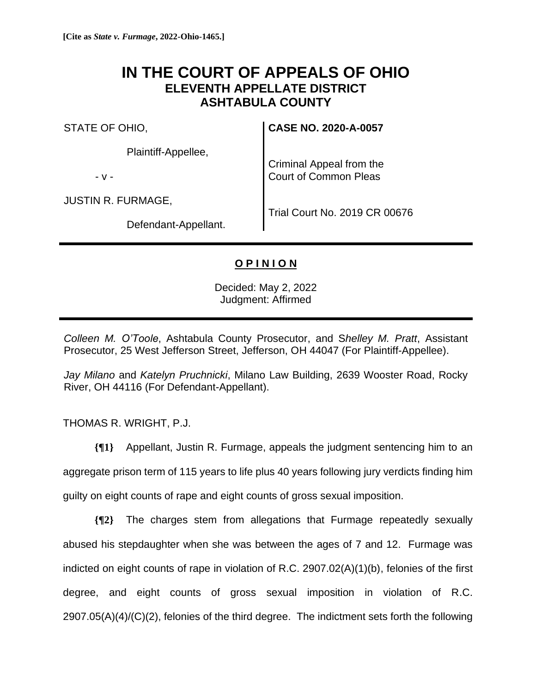## **IN THE COURT OF APPEALS OF OHIO ELEVENTH APPELLATE DISTRICT ASHTABULA COUNTY**

STATE OF OHIO,

Plaintiff-Appellee,

- v -

JUSTIN R. FURMAGE,

Defendant-Appellant.

**CASE NO. 2020-A-0057**

Criminal Appeal from the Court of Common Pleas

Trial Court No. 2019 CR 00676

## **O P I N I O N**

Decided: May 2, 2022 Judgment: Affirmed

*Colleen M. O'Toole*, Ashtabula County Prosecutor, and S*helley M. Pratt*, Assistant Prosecutor, 25 West Jefferson Street, Jefferson, OH 44047 (For Plaintiff-Appellee).

*Jay Milano* and *Katelyn Pruchnicki*, Milano Law Building, 2639 Wooster Road, Rocky River, OH 44116 (For Defendant-Appellant).

THOMAS R. WRIGHT, P.J.

**{¶1}** Appellant, Justin R. Furmage, appeals the judgment sentencing him to an aggregate prison term of 115 years to life plus 40 years following jury verdicts finding him guilty on eight counts of rape and eight counts of gross sexual imposition.

**{¶2}** The charges stem from allegations that Furmage repeatedly sexually abused his stepdaughter when she was between the ages of 7 and 12. Furmage was indicted on eight counts of rape in violation of R.C. 2907.02(A)(1)(b), felonies of the first degree, and eight counts of gross sexual imposition in violation of R.C. 2907.05(A)(4)/(C)(2), felonies of the third degree. The indictment sets forth the following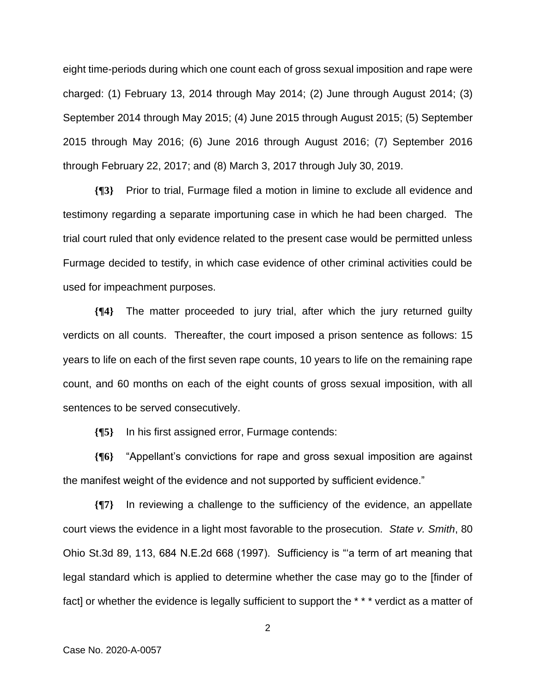eight time-periods during which one count each of gross sexual imposition and rape were charged: (1) February 13, 2014 through May 2014; (2) June through August 2014; (3) September 2014 through May 2015; (4) June 2015 through August 2015; (5) September 2015 through May 2016; (6) June 2016 through August 2016; (7) September 2016 through February 22, 2017; and (8) March 3, 2017 through July 30, 2019.

**{¶3}** Prior to trial, Furmage filed a motion in limine to exclude all evidence and testimony regarding a separate importuning case in which he had been charged. The trial court ruled that only evidence related to the present case would be permitted unless Furmage decided to testify, in which case evidence of other criminal activities could be used for impeachment purposes.

**{¶4}** The matter proceeded to jury trial, after which the jury returned guilty verdicts on all counts. Thereafter, the court imposed a prison sentence as follows: 15 years to life on each of the first seven rape counts, 10 years to life on the remaining rape count, and 60 months on each of the eight counts of gross sexual imposition, with all sentences to be served consecutively.

**{¶5}** In his first assigned error, Furmage contends:

**{¶6}** "Appellant's convictions for rape and gross sexual imposition are against the manifest weight of the evidence and not supported by sufficient evidence."

**{¶7}** In reviewing a challenge to the sufficiency of the evidence, an appellate court views the evidence in a light most favorable to the prosecution. *State v. Smith*, 80 Ohio St.3d 89, 113, 684 N.E.2d 668 (1997). Sufficiency is "'a term of art meaning that legal standard which is applied to determine whether the case may go to the [finder of fact] or whether the evidence is legally sufficient to support the \*\*\* verdict as a matter of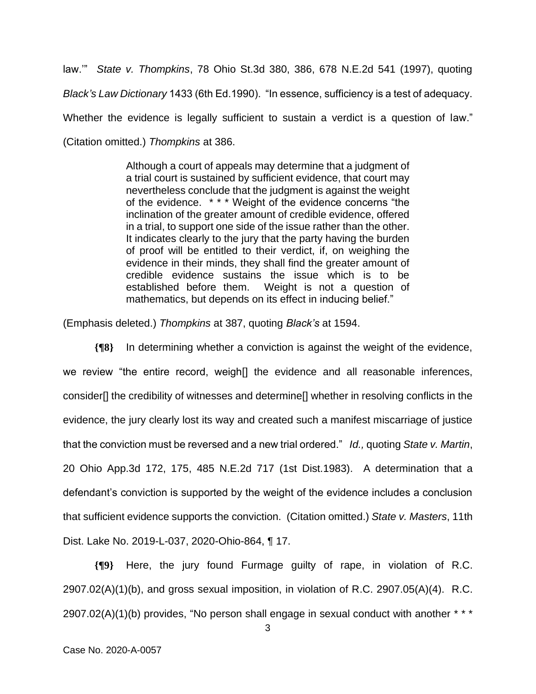law.'" *State v. Thompkins*, 78 Ohio St.3d 380, 386, 678 N.E.2d 541 (1997), quoting *Black's Law Dictionary* 1433 (6th Ed.1990). "In essence, sufficiency is a test of adequacy. Whether the evidence is legally sufficient to sustain a verdict is a question of law." (Citation omitted.) *Thompkins* at 386.

> Although a court of appeals may determine that a judgment of a trial court is sustained by sufficient evidence, that court may nevertheless conclude that the judgment is against the weight of the evidence. \* \* \* Weight of the evidence concerns "the inclination of the greater amount of credible evidence, offered in a trial, to support one side of the issue rather than the other. It indicates clearly to the jury that the party having the burden of proof will be entitled to their verdict, if, on weighing the evidence in their minds, they shall find the greater amount of credible evidence sustains the issue which is to be established before them. Weight is not a question of mathematics, but depends on its effect in inducing belief."

(Emphasis deleted.) *Thompkins* at 387, quoting *Black's* at 1594.

**{¶8}** In determining whether a conviction is against the weight of the evidence, we review "the entire record, weigh[] the evidence and all reasonable inferences, consider[] the credibility of witnesses and determine[] whether in resolving conflicts in the evidence, the jury clearly lost its way and created such a manifest miscarriage of justice that the conviction must be reversed and a new trial ordered." *Id.,* quoting *State v. Martin*, 20 Ohio App.3d 172, 175, 485 N.E.2d 717 (1st Dist.1983). A determination that a defendant's conviction is supported by the weight of the evidence includes a conclusion that sufficient evidence supports the conviction. (Citation omitted.) *State v. Masters*, 11th Dist. Lake No. 2019-L-037, 2020-Ohio-864, ¶ 17.

**{¶9}** Here, the jury found Furmage guilty of rape, in violation of R.C.  $2907.02(A)(1)(b)$ , and gross sexual imposition, in violation of R.C. 2907.05(A)(4). R.C.  $2907.02(A)(1)(b)$  provides, "No person shall engage in sexual conduct with another  $* * *$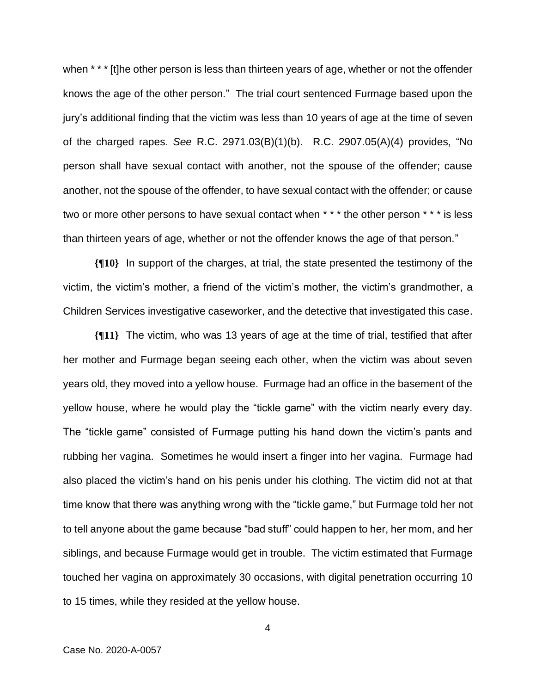when \* \* \* [t]he other person is less than thirteen years of age, whether or not the offender knows the age of the other person." The trial court sentenced Furmage based upon the jury's additional finding that the victim was less than 10 years of age at the time of seven of the charged rapes. *See* R.C. 2971.03(B)(1)(b). R.C. 2907.05(A)(4) provides, "No person shall have sexual contact with another, not the spouse of the offender; cause another, not the spouse of the offender, to have sexual contact with the offender; or cause two or more other persons to have sexual contact when \* \* \* the other person \* \* \* is less than thirteen years of age, whether or not the offender knows the age of that person."

**{¶10}** In support of the charges, at trial, the state presented the testimony of the victim, the victim's mother, a friend of the victim's mother, the victim's grandmother, a Children Services investigative caseworker, and the detective that investigated this case.

**{¶11}** The victim, who was 13 years of age at the time of trial, testified that after her mother and Furmage began seeing each other, when the victim was about seven years old, they moved into a yellow house. Furmage had an office in the basement of the yellow house, where he would play the "tickle game" with the victim nearly every day. The "tickle game" consisted of Furmage putting his hand down the victim's pants and rubbing her vagina. Sometimes he would insert a finger into her vagina. Furmage had also placed the victim's hand on his penis under his clothing. The victim did not at that time know that there was anything wrong with the "tickle game," but Furmage told her not to tell anyone about the game because "bad stuff" could happen to her, her mom, and her siblings, and because Furmage would get in trouble. The victim estimated that Furmage touched her vagina on approximately 30 occasions, with digital penetration occurring 10 to 15 times, while they resided at the yellow house.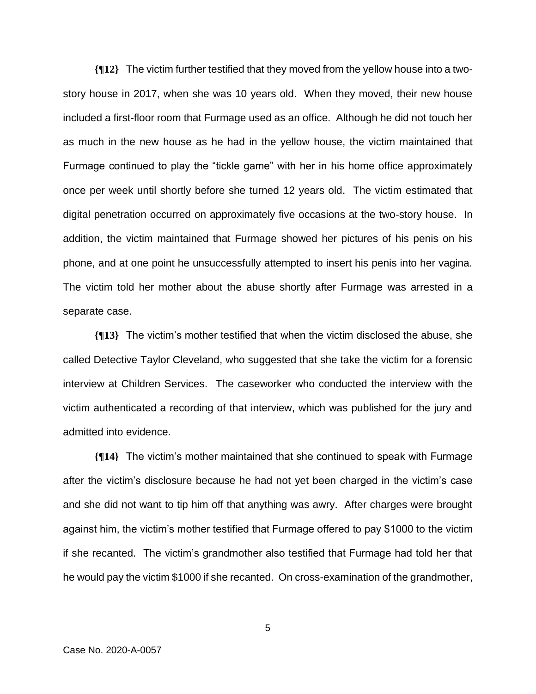**{¶12}** The victim further testified that they moved from the yellow house into a twostory house in 2017, when she was 10 years old. When they moved, their new house included a first-floor room that Furmage used as an office. Although he did not touch her as much in the new house as he had in the yellow house, the victim maintained that Furmage continued to play the "tickle game" with her in his home office approximately once per week until shortly before she turned 12 years old. The victim estimated that digital penetration occurred on approximately five occasions at the two-story house. In addition, the victim maintained that Furmage showed her pictures of his penis on his phone, and at one point he unsuccessfully attempted to insert his penis into her vagina. The victim told her mother about the abuse shortly after Furmage was arrested in a separate case.

**{¶13}** The victim's mother testified that when the victim disclosed the abuse, she called Detective Taylor Cleveland, who suggested that she take the victim for a forensic interview at Children Services. The caseworker who conducted the interview with the victim authenticated a recording of that interview, which was published for the jury and admitted into evidence.

**{¶14}** The victim's mother maintained that she continued to speak with Furmage after the victim's disclosure because he had not yet been charged in the victim's case and she did not want to tip him off that anything was awry. After charges were brought against him, the victim's mother testified that Furmage offered to pay \$1000 to the victim if she recanted. The victim's grandmother also testified that Furmage had told her that he would pay the victim \$1000 if she recanted. On cross-examination of the grandmother,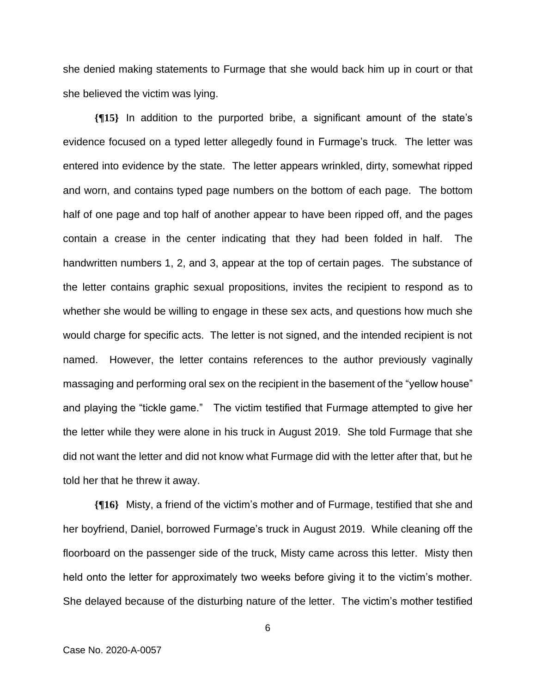she denied making statements to Furmage that she would back him up in court or that she believed the victim was lying.

**{¶15}** In addition to the purported bribe, a significant amount of the state's evidence focused on a typed letter allegedly found in Furmage's truck. The letter was entered into evidence by the state. The letter appears wrinkled, dirty, somewhat ripped and worn, and contains typed page numbers on the bottom of each page. The bottom half of one page and top half of another appear to have been ripped off, and the pages contain a crease in the center indicating that they had been folded in half. The handwritten numbers 1, 2, and 3, appear at the top of certain pages. The substance of the letter contains graphic sexual propositions, invites the recipient to respond as to whether she would be willing to engage in these sex acts, and questions how much she would charge for specific acts. The letter is not signed, and the intended recipient is not named. However, the letter contains references to the author previously vaginally massaging and performing oral sex on the recipient in the basement of the "yellow house" and playing the "tickle game." The victim testified that Furmage attempted to give her the letter while they were alone in his truck in August 2019. She told Furmage that she did not want the letter and did not know what Furmage did with the letter after that, but he told her that he threw it away.

**{¶16}** Misty, a friend of the victim's mother and of Furmage, testified that she and her boyfriend, Daniel, borrowed Furmage's truck in August 2019. While cleaning off the floorboard on the passenger side of the truck, Misty came across this letter. Misty then held onto the letter for approximately two weeks before giving it to the victim's mother. She delayed because of the disturbing nature of the letter. The victim's mother testified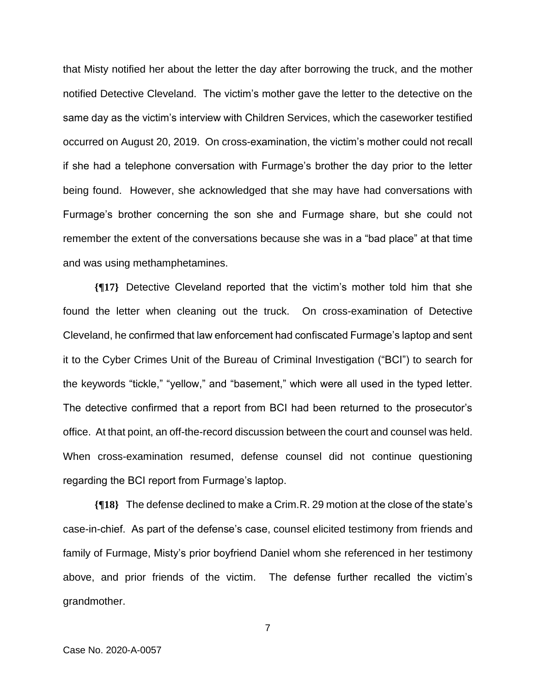that Misty notified her about the letter the day after borrowing the truck, and the mother notified Detective Cleveland. The victim's mother gave the letter to the detective on the same day as the victim's interview with Children Services, which the caseworker testified occurred on August 20, 2019. On cross-examination, the victim's mother could not recall if she had a telephone conversation with Furmage's brother the day prior to the letter being found. However, she acknowledged that she may have had conversations with Furmage's brother concerning the son she and Furmage share, but she could not remember the extent of the conversations because she was in a "bad place" at that time and was using methamphetamines.

**{¶17}** Detective Cleveland reported that the victim's mother told him that she found the letter when cleaning out the truck. On cross-examination of Detective Cleveland, he confirmed that law enforcement had confiscated Furmage's laptop and sent it to the Cyber Crimes Unit of the Bureau of Criminal Investigation ("BCI") to search for the keywords "tickle," "yellow," and "basement," which were all used in the typed letter. The detective confirmed that a report from BCI had been returned to the prosecutor's office. At that point, an off-the-record discussion between the court and counsel was held. When cross-examination resumed, defense counsel did not continue questioning regarding the BCI report from Furmage's laptop.

**{¶18}** The defense declined to make a Crim.R. 29 motion at the close of the state's case-in-chief. As part of the defense's case, counsel elicited testimony from friends and family of Furmage, Misty's prior boyfriend Daniel whom she referenced in her testimony above, and prior friends of the victim. The defense further recalled the victim's grandmother.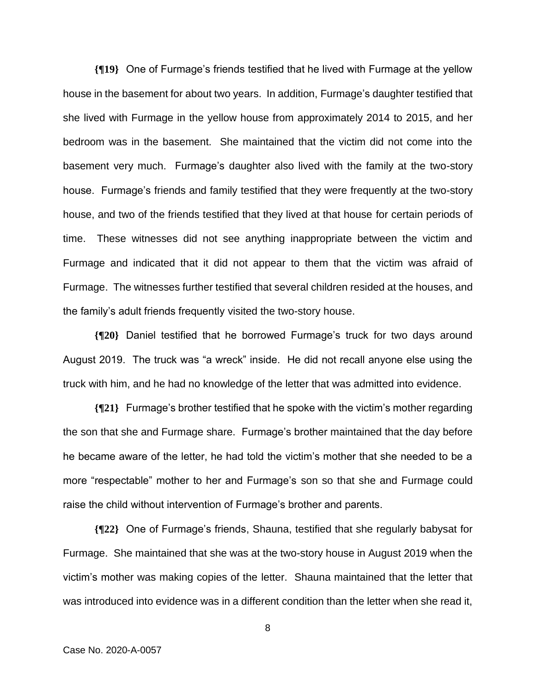**{¶19}** One of Furmage's friends testified that he lived with Furmage at the yellow house in the basement for about two years. In addition, Furmage's daughter testified that she lived with Furmage in the yellow house from approximately 2014 to 2015, and her bedroom was in the basement. She maintained that the victim did not come into the basement very much. Furmage's daughter also lived with the family at the two-story house. Furmage's friends and family testified that they were frequently at the two-story house, and two of the friends testified that they lived at that house for certain periods of time. These witnesses did not see anything inappropriate between the victim and Furmage and indicated that it did not appear to them that the victim was afraid of Furmage. The witnesses further testified that several children resided at the houses, and the family's adult friends frequently visited the two-story house.

**{¶20}** Daniel testified that he borrowed Furmage's truck for two days around August 2019. The truck was "a wreck" inside. He did not recall anyone else using the truck with him, and he had no knowledge of the letter that was admitted into evidence.

**{¶21}** Furmage's brother testified that he spoke with the victim's mother regarding the son that she and Furmage share. Furmage's brother maintained that the day before he became aware of the letter, he had told the victim's mother that she needed to be a more "respectable" mother to her and Furmage's son so that she and Furmage could raise the child without intervention of Furmage's brother and parents.

**{¶22}** One of Furmage's friends, Shauna, testified that she regularly babysat for Furmage. She maintained that she was at the two-story house in August 2019 when the victim's mother was making copies of the letter. Shauna maintained that the letter that was introduced into evidence was in a different condition than the letter when she read it,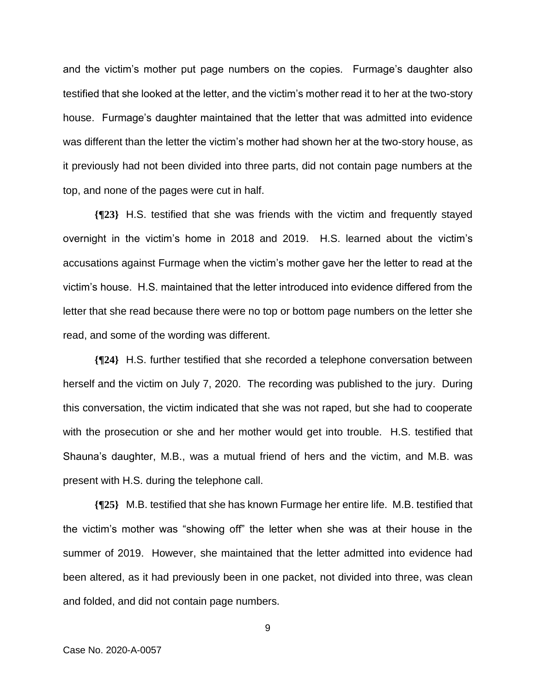and the victim's mother put page numbers on the copies. Furmage's daughter also testified that she looked at the letter, and the victim's mother read it to her at the two-story house. Furmage's daughter maintained that the letter that was admitted into evidence was different than the letter the victim's mother had shown her at the two-story house, as it previously had not been divided into three parts, did not contain page numbers at the top, and none of the pages were cut in half.

**{¶23}** H.S. testified that she was friends with the victim and frequently stayed overnight in the victim's home in 2018 and 2019. H.S. learned about the victim's accusations against Furmage when the victim's mother gave her the letter to read at the victim's house. H.S. maintained that the letter introduced into evidence differed from the letter that she read because there were no top or bottom page numbers on the letter she read, and some of the wording was different.

**{¶24}** H.S. further testified that she recorded a telephone conversation between herself and the victim on July 7, 2020. The recording was published to the jury. During this conversation, the victim indicated that she was not raped, but she had to cooperate with the prosecution or she and her mother would get into trouble. H.S. testified that Shauna's daughter, M.B., was a mutual friend of hers and the victim, and M.B. was present with H.S. during the telephone call.

**{¶25}** M.B. testified that she has known Furmage her entire life. M.B. testified that the victim's mother was "showing off" the letter when she was at their house in the summer of 2019. However, she maintained that the letter admitted into evidence had been altered, as it had previously been in one packet, not divided into three, was clean and folded, and did not contain page numbers.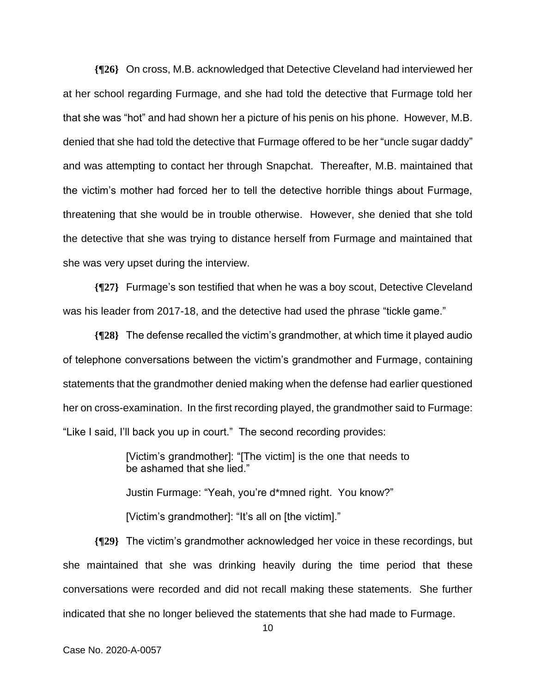**{¶26}** On cross, M.B. acknowledged that Detective Cleveland had interviewed her at her school regarding Furmage, and she had told the detective that Furmage told her that she was "hot" and had shown her a picture of his penis on his phone. However, M.B. denied that she had told the detective that Furmage offered to be her "uncle sugar daddy" and was attempting to contact her through Snapchat. Thereafter, M.B. maintained that the victim's mother had forced her to tell the detective horrible things about Furmage, threatening that she would be in trouble otherwise. However, she denied that she told the detective that she was trying to distance herself from Furmage and maintained that she was very upset during the interview.

**{¶27}** Furmage's son testified that when he was a boy scout, Detective Cleveland was his leader from 2017-18, and the detective had used the phrase "tickle game."

**{¶28}** The defense recalled the victim's grandmother, at which time it played audio of telephone conversations between the victim's grandmother and Furmage, containing statements that the grandmother denied making when the defense had earlier questioned her on cross-examination. In the first recording played, the grandmother said to Furmage: "Like I said, I'll back you up in court." The second recording provides:

> [Victim's grandmother]: "[The victim] is the one that needs to be ashamed that she lied."

Justin Furmage: "Yeah, you're d\*mned right. You know?"

[Victim's grandmother]: "It's all on [the victim]."

**{¶29}** The victim's grandmother acknowledged her voice in these recordings, but she maintained that she was drinking heavily during the time period that these conversations were recorded and did not recall making these statements. She further indicated that she no longer believed the statements that she had made to Furmage.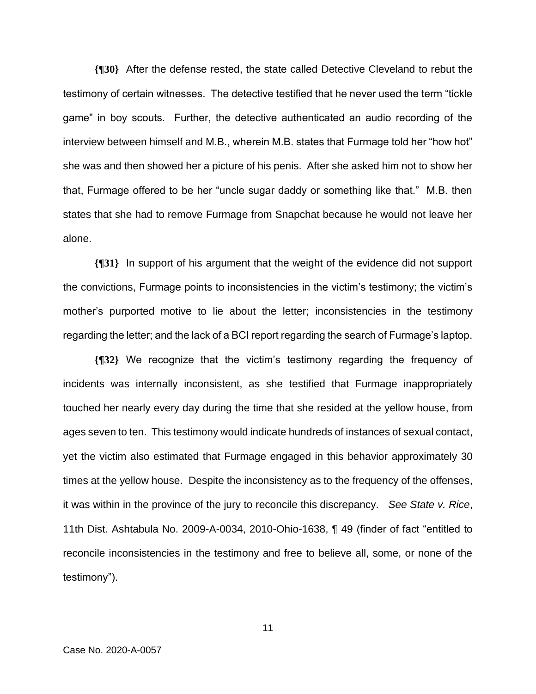**{¶30}** After the defense rested, the state called Detective Cleveland to rebut the testimony of certain witnesses. The detective testified that he never used the term "tickle game" in boy scouts. Further, the detective authenticated an audio recording of the interview between himself and M.B., wherein M.B. states that Furmage told her "how hot" she was and then showed her a picture of his penis. After she asked him not to show her that, Furmage offered to be her "uncle sugar daddy or something like that." M.B. then states that she had to remove Furmage from Snapchat because he would not leave her alone.

**{¶31}** In support of his argument that the weight of the evidence did not support the convictions, Furmage points to inconsistencies in the victim's testimony; the victim's mother's purported motive to lie about the letter; inconsistencies in the testimony regarding the letter; and the lack of a BCI report regarding the search of Furmage's laptop.

**{¶32}** We recognize that the victim's testimony regarding the frequency of incidents was internally inconsistent, as she testified that Furmage inappropriately touched her nearly every day during the time that she resided at the yellow house, from ages seven to ten. This testimony would indicate hundreds of instances of sexual contact, yet the victim also estimated that Furmage engaged in this behavior approximately 30 times at the yellow house. Despite the inconsistency as to the frequency of the offenses, it was within in the province of the jury to reconcile this discrepancy. *See State v. Rice*, 11th Dist. Ashtabula No. 2009-A-0034, 2010-Ohio-1638, ¶ 49 (finder of fact "entitled to reconcile inconsistencies in the testimony and free to believe all, some, or none of the testimony").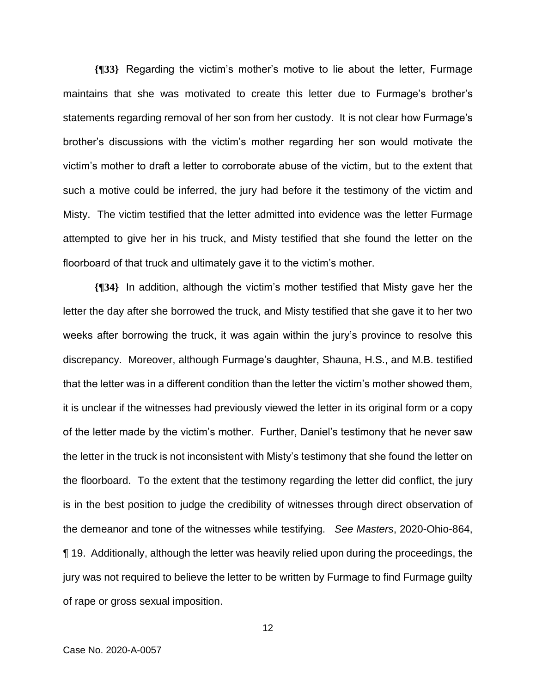**{¶33}** Regarding the victim's mother's motive to lie about the letter, Furmage maintains that she was motivated to create this letter due to Furmage's brother's statements regarding removal of her son from her custody. It is not clear how Furmage's brother's discussions with the victim's mother regarding her son would motivate the victim's mother to draft a letter to corroborate abuse of the victim, but to the extent that such a motive could be inferred, the jury had before it the testimony of the victim and Misty. The victim testified that the letter admitted into evidence was the letter Furmage attempted to give her in his truck, and Misty testified that she found the letter on the floorboard of that truck and ultimately gave it to the victim's mother.

**{¶34}** In addition, although the victim's mother testified that Misty gave her the letter the day after she borrowed the truck, and Misty testified that she gave it to her two weeks after borrowing the truck, it was again within the jury's province to resolve this discrepancy. Moreover, although Furmage's daughter, Shauna, H.S., and M.B. testified that the letter was in a different condition than the letter the victim's mother showed them, it is unclear if the witnesses had previously viewed the letter in its original form or a copy of the letter made by the victim's mother. Further, Daniel's testimony that he never saw the letter in the truck is not inconsistent with Misty's testimony that she found the letter on the floorboard. To the extent that the testimony regarding the letter did conflict, the jury is in the best position to judge the credibility of witnesses through direct observation of the demeanor and tone of the witnesses while testifying. *See Masters*, 2020-Ohio-864, ¶ 19. Additionally, although the letter was heavily relied upon during the proceedings, the jury was not required to believe the letter to be written by Furmage to find Furmage guilty of rape or gross sexual imposition.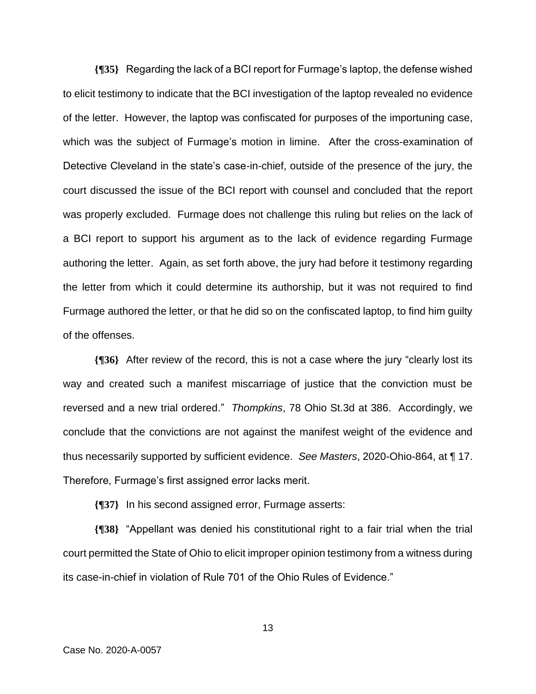**{¶35}** Regarding the lack of a BCI report for Furmage's laptop, the defense wished to elicit testimony to indicate that the BCI investigation of the laptop revealed no evidence of the letter. However, the laptop was confiscated for purposes of the importuning case, which was the subject of Furmage's motion in limine. After the cross-examination of Detective Cleveland in the state's case-in-chief, outside of the presence of the jury, the court discussed the issue of the BCI report with counsel and concluded that the report was properly excluded. Furmage does not challenge this ruling but relies on the lack of a BCI report to support his argument as to the lack of evidence regarding Furmage authoring the letter. Again, as set forth above, the jury had before it testimony regarding the letter from which it could determine its authorship, but it was not required to find Furmage authored the letter, or that he did so on the confiscated laptop, to find him guilty of the offenses.

**{¶36}** After review of the record, this is not a case where the jury "clearly lost its way and created such a manifest miscarriage of justice that the conviction must be reversed and a new trial ordered." *Thompkins*, 78 Ohio St.3d at 386. Accordingly, we conclude that the convictions are not against the manifest weight of the evidence and thus necessarily supported by sufficient evidence. *See Masters*, 2020-Ohio-864, at ¶ 17. Therefore, Furmage's first assigned error lacks merit.

**{¶37}** In his second assigned error, Furmage asserts:

**{¶38}** "Appellant was denied his constitutional right to a fair trial when the trial court permitted the State of Ohio to elicit improper opinion testimony from a witness during its case-in-chief in violation of Rule 701 of the Ohio Rules of Evidence."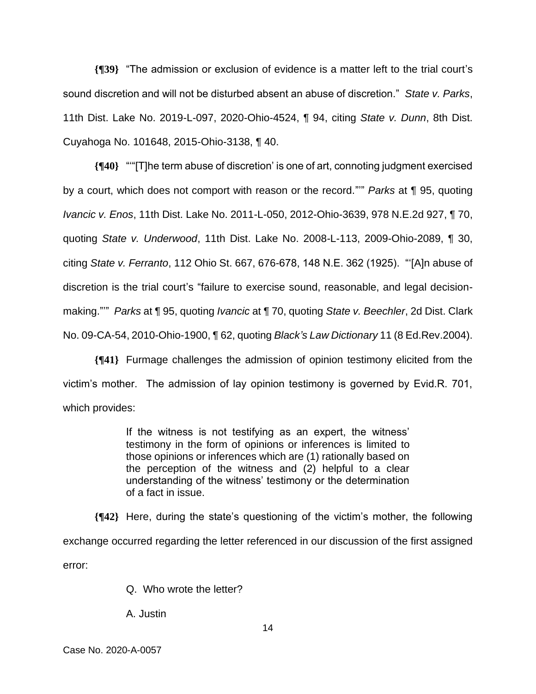**{¶39}** "The admission or exclusion of evidence is a matter left to the trial court's sound discretion and will not be disturbed absent an abuse of discretion." *State v. Parks*, 11th Dist. Lake No. 2019-L-097, 2020-Ohio-4524, ¶ 94, citing *State v. Dunn*, 8th Dist. Cuyahoga No. 101648, 2015-Ohio-3138, ¶ 40.

**{¶40}** "'"[T]he term abuse of discretion' is one of art, connoting judgment exercised by a court, which does not comport with reason or the record."'" *Parks* at ¶ 95, quoting *Ivancic v. Enos*, 11th Dist. Lake No. 2011-L-050, 2012-Ohio-3639, 978 N.E.2d 927, ¶ 70, quoting *State v. Underwood*, 11th Dist. Lake No. 2008-L-113, 2009-Ohio-2089, ¶ 30, citing *State v. Ferranto*, 112 Ohio St. 667, 676-678, 148 N.E. 362 (1925). "'[A]n abuse of discretion is the trial court's "failure to exercise sound, reasonable, and legal decisionmaking."'" *Parks* at ¶ 95, quoting *Ivancic* at ¶ 70, quoting *State v. Beechler*, 2d Dist. Clark No. 09-CA-54, 2010-Ohio-1900, ¶ 62, quoting *Black's Law Dictionary* 11 (8 Ed.Rev.2004).

**{¶41}** Furmage challenges the admission of opinion testimony elicited from the victim's mother. The admission of lay opinion testimony is governed by Evid.R. 701, which provides:

> If the witness is not testifying as an expert, the witness' testimony in the form of opinions or inferences is limited to those opinions or inferences which are (1) rationally based on the perception of the witness and (2) helpful to a clear understanding of the witness' testimony or the determination of a fact in issue.

**{¶42}** Here, during the state's questioning of the victim's mother, the following exchange occurred regarding the letter referenced in our discussion of the first assigned error:

Q. Who wrote the letter?

A. Justin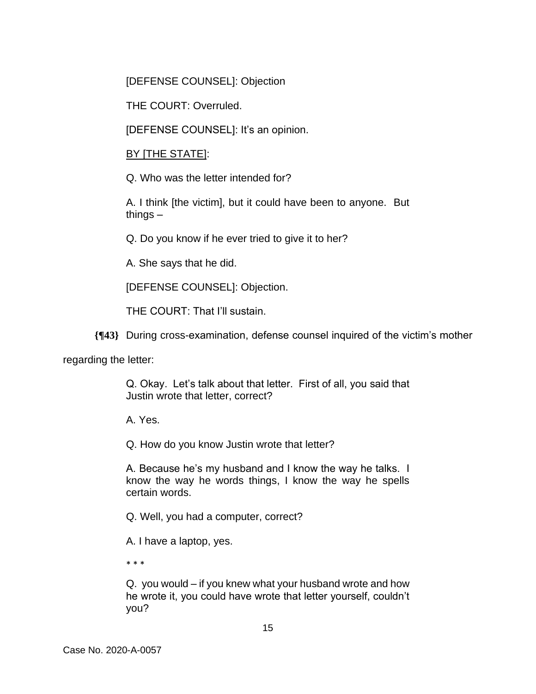[DEFENSE COUNSEL]: Objection

THE COURT: Overruled.

[DEFENSE COUNSEL]: It's an opinion.

## BY [THE STATE]:

Q. Who was the letter intended for?

A. I think [the victim], but it could have been to anyone. But things –

Q. Do you know if he ever tried to give it to her?

A. She says that he did.

[DEFENSE COUNSEL]: Objection.

THE COURT: That I'll sustain.

**{¶43}** During cross-examination, defense counsel inquired of the victim's mother

regarding the letter:

Q. Okay. Let's talk about that letter. First of all, you said that Justin wrote that letter, correct?

A. Yes.

Q. How do you know Justin wrote that letter?

A. Because he's my husband and I know the way he talks. I know the way he words things, I know the way he spells certain words.

Q. Well, you had a computer, correct?

A. I have a laptop, yes.

\* \* \*

Q. you would – if you knew what your husband wrote and how he wrote it, you could have wrote that letter yourself, couldn't you?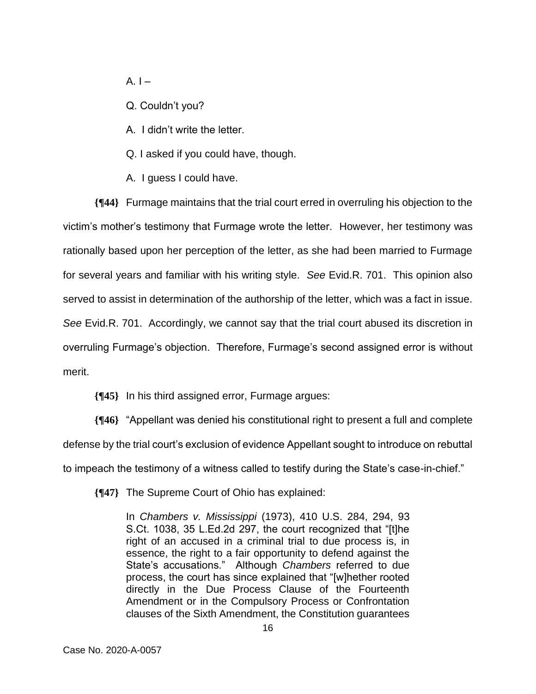$A.$   $I -$ 

Q. Couldn't you?

A. I didn't write the letter.

Q. I asked if you could have, though.

A. I guess I could have.

**{¶44}** Furmage maintains that the trial court erred in overruling his objection to the victim's mother's testimony that Furmage wrote the letter. However, her testimony was rationally based upon her perception of the letter, as she had been married to Furmage for several years and familiar with his writing style. *See* Evid.R. 701. This opinion also served to assist in determination of the authorship of the letter, which was a fact in issue. *See* Evid.R. 701. Accordingly, we cannot say that the trial court abused its discretion in overruling Furmage's objection. Therefore, Furmage's second assigned error is without merit.

**{¶45}** In his third assigned error, Furmage argues:

**{¶46}** "Appellant was denied his constitutional right to present a full and complete defense by the trial court's exclusion of evidence Appellant sought to introduce on rebuttal to impeach the testimony of a witness called to testify during the State's case-in-chief."

**{¶47}** The Supreme Court of Ohio has explained:

In *Chambers v. Mississippi* (1973), 410 U.S. 284, 294, 93 S.Ct. 1038, 35 L.Ed.2d 297, the court recognized that "[t]he right of an accused in a criminal trial to due process is, in essence, the right to a fair opportunity to defend against the State's accusations." Although *Chambers* referred to due process, the court has since explained that "[w]hether rooted directly in the Due Process Clause of the Fourteenth Amendment or in the Compulsory Process or Confrontation clauses of the Sixth Amendment, the Constitution guarantees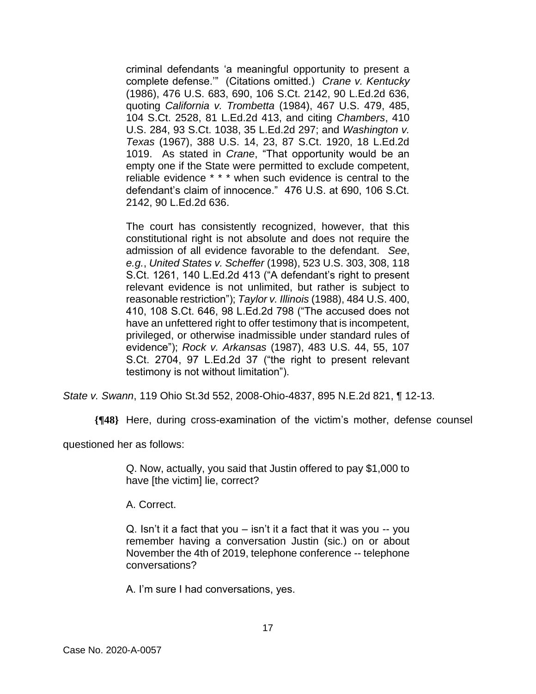criminal defendants 'a meaningful opportunity to present a complete defense.'" (Citations omitted.) *Crane v. Kentucky* (1986), 476 U.S. 683, 690, 106 S.Ct. 2142, 90 L.Ed.2d 636, quoting *California v. Trombetta* (1984), 467 U.S. 479, 485, 104 S.Ct. 2528, 81 L.Ed.2d 413, and citing *Chambers*, 410 U.S. 284, 93 S.Ct. 1038, 35 L.Ed.2d 297; and *Washington v. Texas* (1967), 388 U.S. 14, 23, 87 S.Ct. 1920, 18 L.Ed.2d 1019. As stated in *Crane*, "That opportunity would be an empty one if the State were permitted to exclude competent, reliable evidence \* \* \* when such evidence is central to the defendant's claim of innocence." 476 U.S. at 690, 106 S.Ct. 2142, 90 L.Ed.2d 636.

The court has consistently recognized, however, that this constitutional right is not absolute and does not require the admission of all evidence favorable to the defendant. *See*, *e.g.*, *United States v. Scheffer* (1998), 523 U.S. 303, 308, 118 S.Ct. 1261, 140 L.Ed.2d 413 ("A defendant's right to present relevant evidence is not unlimited, but rather is subject to reasonable restriction"); *Taylor v. Illinois* (1988), 484 U.S. 400, 410, 108 S.Ct. 646, 98 L.Ed.2d 798 ("The accused does not have an unfettered right to offer testimony that is incompetent, privileged, or otherwise inadmissible under standard rules of evidence"); *Rock v. Arkansas* (1987), 483 U.S. 44, 55, 107 S.Ct. 2704, 97 L.Ed.2d 37 ("the right to present relevant testimony is not without limitation").

*State v. Swann*, 119 Ohio St.3d 552, 2008-Ohio-4837, 895 N.E.2d 821, ¶ 12-13.

**{¶48}** Here, during cross-examination of the victim's mother, defense counsel

questioned her as follows:

Q. Now, actually, you said that Justin offered to pay \$1,000 to have [the victim] lie, correct?

A. Correct.

Q. Isn't it a fact that you – isn't it a fact that it was you -- you remember having a conversation Justin (sic.) on or about November the 4th of 2019, telephone conference -- telephone conversations?

A. I'm sure I had conversations, yes.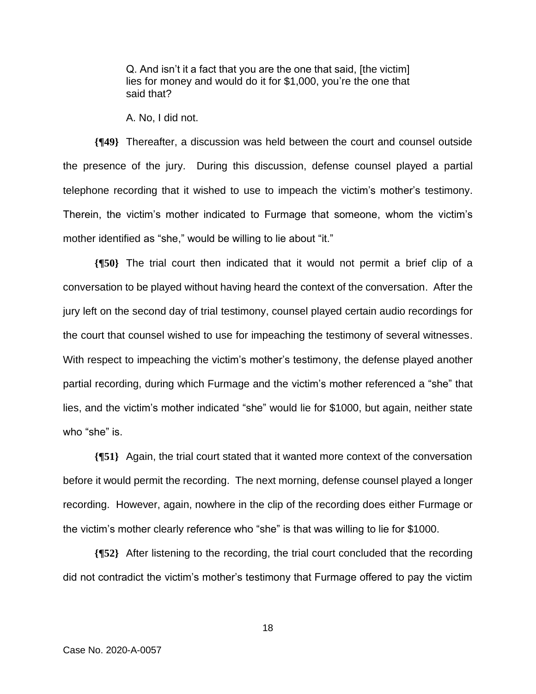Q. And isn't it a fact that you are the one that said, [the victim] lies for money and would do it for \$1,000, you're the one that said that?

A. No, I did not.

**{¶49}** Thereafter, a discussion was held between the court and counsel outside the presence of the jury. During this discussion, defense counsel played a partial telephone recording that it wished to use to impeach the victim's mother's testimony. Therein, the victim's mother indicated to Furmage that someone, whom the victim's mother identified as "she," would be willing to lie about "it."

**{¶50}** The trial court then indicated that it would not permit a brief clip of a conversation to be played without having heard the context of the conversation. After the jury left on the second day of trial testimony, counsel played certain audio recordings for the court that counsel wished to use for impeaching the testimony of several witnesses. With respect to impeaching the victim's mother's testimony, the defense played another partial recording, during which Furmage and the victim's mother referenced a "she" that lies, and the victim's mother indicated "she" would lie for \$1000, but again, neither state who "she" is.

**{¶51}** Again, the trial court stated that it wanted more context of the conversation before it would permit the recording. The next morning, defense counsel played a longer recording. However, again, nowhere in the clip of the recording does either Furmage or the victim's mother clearly reference who "she" is that was willing to lie for \$1000.

**{¶52}** After listening to the recording, the trial court concluded that the recording did not contradict the victim's mother's testimony that Furmage offered to pay the victim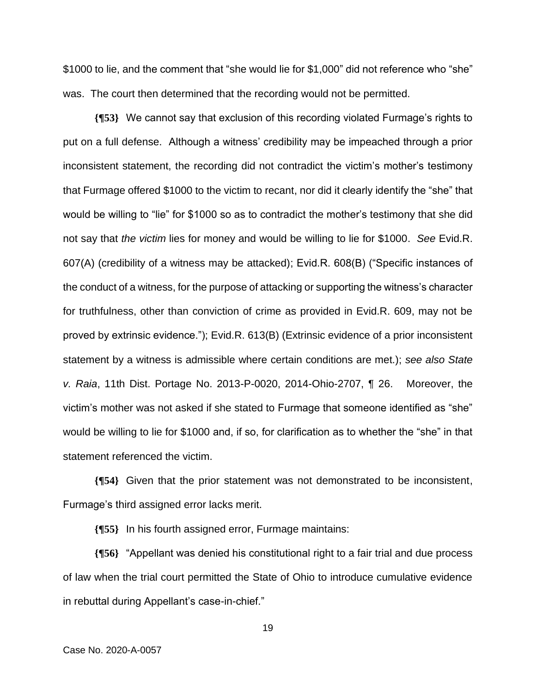\$1000 to lie, and the comment that "she would lie for \$1,000" did not reference who "she" was. The court then determined that the recording would not be permitted.

**{¶53}** We cannot say that exclusion of this recording violated Furmage's rights to put on a full defense. Although a witness' credibility may be impeached through a prior inconsistent statement, the recording did not contradict the victim's mother's testimony that Furmage offered \$1000 to the victim to recant, nor did it clearly identify the "she" that would be willing to "lie" for \$1000 so as to contradict the mother's testimony that she did not say that *the victim* lies for money and would be willing to lie for \$1000. *See* Evid.R. 607(A) (credibility of a witness may be attacked); Evid.R. 608(B) ("Specific instances of the conduct of a witness, for the purpose of attacking or supporting the witness's character for truthfulness, other than conviction of crime as provided in Evid.R. 609, may not be proved by extrinsic evidence."); Evid.R. 613(B) (Extrinsic evidence of a prior inconsistent statement by a witness is admissible where certain conditions are met.); *see also State v. Raia*, 11th Dist. Portage No. 2013-P-0020, 2014-Ohio-2707, ¶ 26. Moreover, the victim's mother was not asked if she stated to Furmage that someone identified as "she" would be willing to lie for \$1000 and, if so, for clarification as to whether the "she" in that statement referenced the victim.

**{¶54}** Given that the prior statement was not demonstrated to be inconsistent, Furmage's third assigned error lacks merit.

**{¶55}** In his fourth assigned error, Furmage maintains:

**{¶56}** "Appellant was denied his constitutional right to a fair trial and due process of law when the trial court permitted the State of Ohio to introduce cumulative evidence in rebuttal during Appellant's case-in-chief."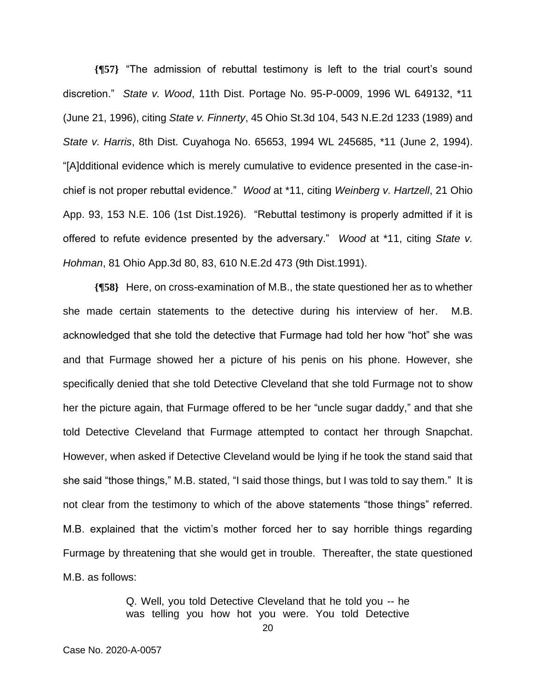**{¶57}** "The admission of rebuttal testimony is left to the trial court's sound discretion." *State v. Wood*, 11th Dist. Portage No. 95-P-0009, 1996 WL 649132, \*11 (June 21, 1996), citing *State v. Finnerty*, 45 Ohio St.3d 104, 543 N.E.2d 1233 (1989) and *State v. Harris*, 8th Dist. Cuyahoga No. 65653, 1994 WL 245685, \*11 (June 2, 1994). "[A]dditional evidence which is merely cumulative to evidence presented in the case-inchief is not proper rebuttal evidence." *Wood* at \*11, citing *Weinberg v. Hartzell*, 21 Ohio App. 93, 153 N.E. 106 (1st Dist.1926). "Rebuttal testimony is properly admitted if it is offered to refute evidence presented by the adversary." *Wood* at \*11, citing *State v. Hohman*, 81 Ohio App.3d 80, 83, 610 N.E.2d 473 (9th Dist.1991).

**{¶58}** Here, on cross-examination of M.B., the state questioned her as to whether she made certain statements to the detective during his interview of her. M.B. acknowledged that she told the detective that Furmage had told her how "hot" she was and that Furmage showed her a picture of his penis on his phone. However, she specifically denied that she told Detective Cleveland that she told Furmage not to show her the picture again, that Furmage offered to be her "uncle sugar daddy," and that she told Detective Cleveland that Furmage attempted to contact her through Snapchat. However, when asked if Detective Cleveland would be lying if he took the stand said that she said "those things," M.B. stated, "I said those things, but I was told to say them." It is not clear from the testimony to which of the above statements "those things" referred. M.B. explained that the victim's mother forced her to say horrible things regarding Furmage by threatening that she would get in trouble. Thereafter, the state questioned M.B. as follows:

> Q. Well, you told Detective Cleveland that he told you -- he was telling you how hot you were. You told Detective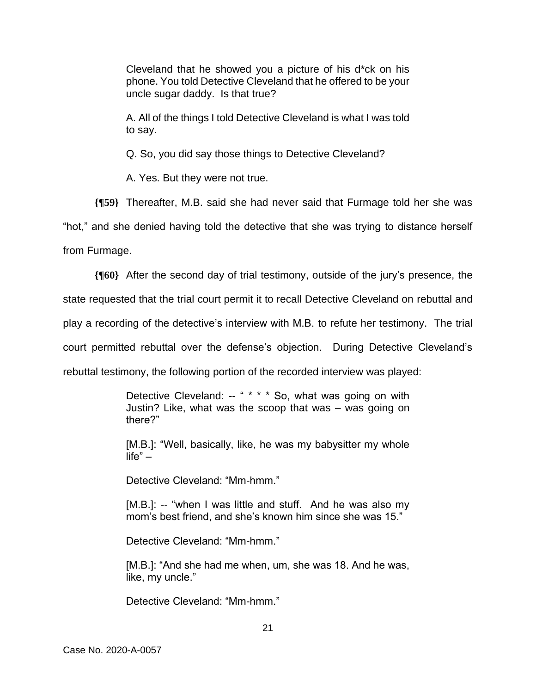Cleveland that he showed you a picture of his d\*ck on his phone. You told Detective Cleveland that he offered to be your uncle sugar daddy. Is that true?

A. All of the things I told Detective Cleveland is what I was told to say.

Q. So, you did say those things to Detective Cleveland?

A. Yes. But they were not true.

**{¶59}** Thereafter, M.B. said she had never said that Furmage told her she was

"hot," and she denied having told the detective that she was trying to distance herself

from Furmage.

**{¶60}** After the second day of trial testimony, outside of the jury's presence, the

state requested that the trial court permit it to recall Detective Cleveland on rebuttal and

play a recording of the detective's interview with M.B. to refute her testimony. The trial

court permitted rebuttal over the defense's objection. During Detective Cleveland's

rebuttal testimony, the following portion of the recorded interview was played:

Detective Cleveland: -- " \* \* \* So, what was going on with Justin? Like, what was the scoop that was – was going on there?"

[M.B.]: "Well, basically, like, he was my babysitter my whole life" –

Detective Cleveland: "Mm-hmm."

[M.B.]: -- "when I was little and stuff. And he was also my mom's best friend, and she's known him since she was 15."

Detective Cleveland: "Mm-hmm."

[M.B.]: "And she had me when, um, she was 18. And he was, like, my uncle."

Detective Cleveland: "Mm-hmm."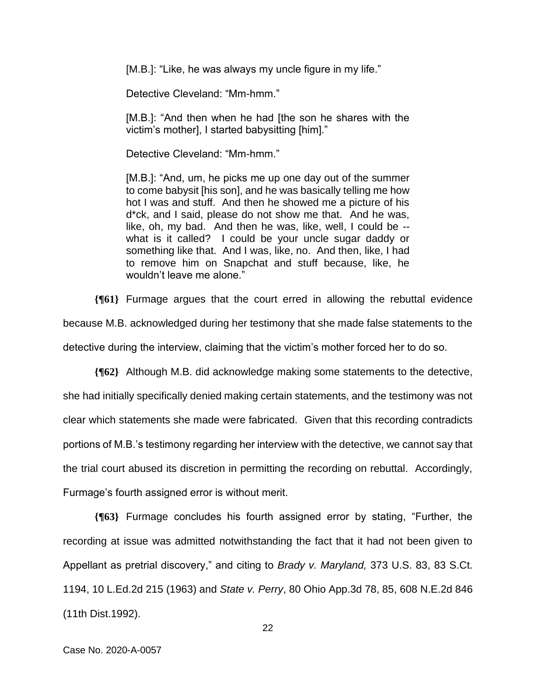[M.B.]: "Like, he was always my uncle figure in my life."

Detective Cleveland: "Mm-hmm."

[M.B.]: "And then when he had [the son he shares with the victim's mother], I started babysitting [him]."

Detective Cleveland: "Mm-hmm."

[M.B.]: "And, um, he picks me up one day out of the summer to come babysit [his son], and he was basically telling me how hot I was and stuff. And then he showed me a picture of his d\*ck, and I said, please do not show me that. And he was, like, oh, my bad. And then he was, like, well, I could be - what is it called? I could be your uncle sugar daddy or something like that. And I was, like, no. And then, like, I had to remove him on Snapchat and stuff because, like, he wouldn't leave me alone."

**{¶61}** Furmage argues that the court erred in allowing the rebuttal evidence because M.B. acknowledged during her testimony that she made false statements to the detective during the interview, claiming that the victim's mother forced her to do so.

**{¶62}** Although M.B. did acknowledge making some statements to the detective, she had initially specifically denied making certain statements, and the testimony was not clear which statements she made were fabricated. Given that this recording contradicts portions of M.B.'s testimony regarding her interview with the detective, we cannot say that the trial court abused its discretion in permitting the recording on rebuttal. Accordingly, Furmage's fourth assigned error is without merit.

**{¶63}** Furmage concludes his fourth assigned error by stating, "Further, the recording at issue was admitted notwithstanding the fact that it had not been given to Appellant as pretrial discovery," and citing to *Brady v. Maryland,* 373 U.S. 83, 83 S.Ct. 1194, 10 L.Ed.2d 215 (1963) and *State v. Perry*, 80 Ohio App.3d 78, 85, 608 N.E.2d 846 (11th Dist.1992).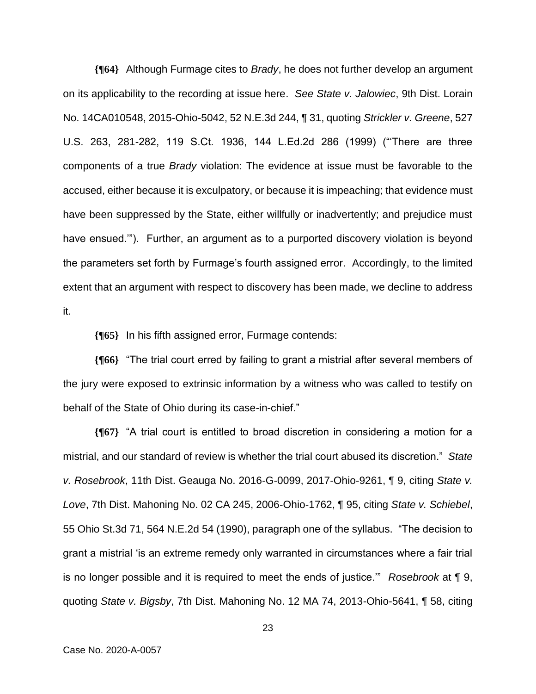**{¶64}** Although Furmage cites to *Brady*, he does not further develop an argument on its applicability to the recording at issue here. *See State v. Jalowiec*, 9th Dist. Lorain No. 14CA010548, 2015-Ohio-5042, 52 N.E.3d 244, ¶ 31, quoting *Strickler v. Greene*, 527 U.S. 263, 281-282, 119 S.Ct. 1936, 144 L.Ed.2d 286 (1999) ("'There are three components of a true *Brady* violation: The evidence at issue must be favorable to the accused, either because it is exculpatory, or because it is impeaching; that evidence must have been suppressed by the State, either willfully or inadvertently; and prejudice must have ensued.'"). Further, an argument as to a purported discovery violation is beyond the parameters set forth by Furmage's fourth assigned error. Accordingly, to the limited extent that an argument with respect to discovery has been made, we decline to address it.

**{¶65}** In his fifth assigned error, Furmage contends:

**{¶66}** "The trial court erred by failing to grant a mistrial after several members of the jury were exposed to extrinsic information by a witness who was called to testify on behalf of the State of Ohio during its case-in-chief."

**{¶67}** "A trial court is entitled to broad discretion in considering a motion for a mistrial, and our standard of review is whether the trial court abused its discretion." *State v. Rosebrook*, 11th Dist. Geauga No. 2016-G-0099, 2017-Ohio-9261, ¶ 9, citing *State v. Love*, 7th Dist. Mahoning No. 02 CA 245, 2006-Ohio-1762, ¶ 95, citing *State v. Schiebel*, 55 Ohio St.3d 71, 564 N.E.2d 54 (1990), paragraph one of the syllabus. "The decision to grant a mistrial 'is an extreme remedy only warranted in circumstances where a fair trial is no longer possible and it is required to meet the ends of justice.'" *Rosebrook* at ¶ 9, quoting *State v. Bigsby*, 7th Dist. Mahoning No. 12 MA 74, 2013-Ohio-5641, ¶ 58, citing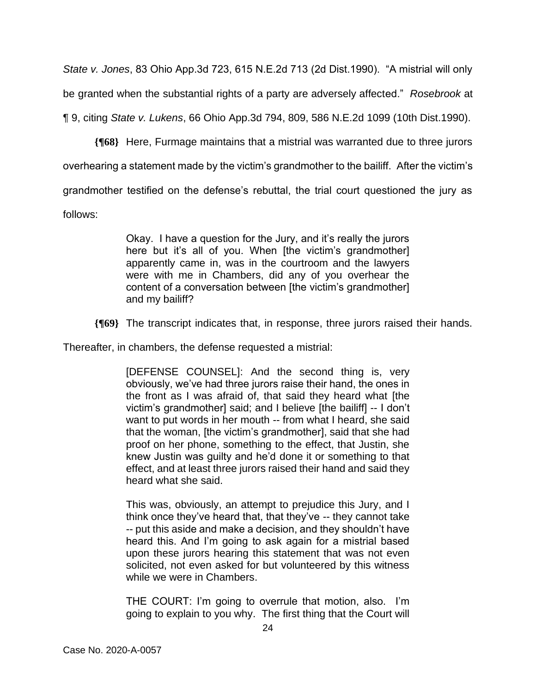*State v. Jones*, 83 Ohio App.3d 723, 615 N.E.2d 713 (2d Dist.1990). "A mistrial will only be granted when the substantial rights of a party are adversely affected." *Rosebrook* at

¶ 9, citing *State v. Lukens*, 66 Ohio App.3d 794, 809, 586 N.E.2d 1099 (10th Dist.1990).

**{¶68}** Here, Furmage maintains that a mistrial was warranted due to three jurors

overhearing a statement made by the victim's grandmother to the bailiff. After the victim's

grandmother testified on the defense's rebuttal, the trial court questioned the jury as

follows:

Okay. I have a question for the Jury, and it's really the jurors here but it's all of you. When [the victim's grandmother] apparently came in, was in the courtroom and the lawyers were with me in Chambers, did any of you overhear the content of a conversation between [the victim's grandmother] and my bailiff?

**{¶69}** The transcript indicates that, in response, three jurors raised their hands.

Thereafter, in chambers, the defense requested a mistrial:

[DEFENSE COUNSEL]: And the second thing is, very obviously, we've had three jurors raise their hand, the ones in the front as I was afraid of, that said they heard what [the victim's grandmother] said; and I believe [the bailiff] -- I don't want to put words in her mouth -- from what I heard, she said that the woman, [the victim's grandmother], said that she had proof on her phone, something to the effect, that Justin, she knew Justin was guilty and he'd done it or something to that effect, and at least three jurors raised their hand and said they heard what she said.

This was, obviously, an attempt to prejudice this Jury, and I think once they've heard that, that they've -- they cannot take -- put this aside and make a decision, and they shouldn't have heard this. And I'm going to ask again for a mistrial based upon these jurors hearing this statement that was not even solicited, not even asked for but volunteered by this witness while we were in Chambers.

THE COURT: I'm going to overrule that motion, also. I'm going to explain to you why. The first thing that the Court will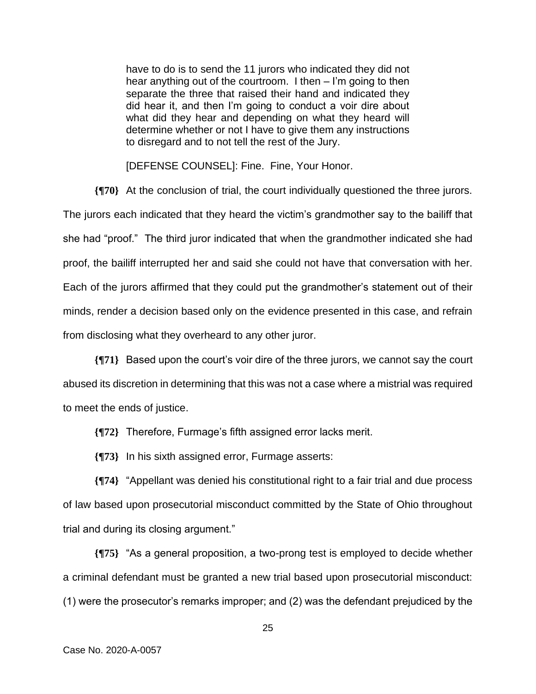have to do is to send the 11 jurors who indicated they did not hear anything out of the courtroom. I then – I'm going to then separate the three that raised their hand and indicated they did hear it, and then I'm going to conduct a voir dire about what did they hear and depending on what they heard will determine whether or not I have to give them any instructions to disregard and to not tell the rest of the Jury.

[DEFENSE COUNSEL]: Fine. Fine, Your Honor.

**{¶70}** At the conclusion of trial, the court individually questioned the three jurors. The jurors each indicated that they heard the victim's grandmother say to the bailiff that she had "proof." The third juror indicated that when the grandmother indicated she had proof, the bailiff interrupted her and said she could not have that conversation with her. Each of the jurors affirmed that they could put the grandmother's statement out of their minds, render a decision based only on the evidence presented in this case, and refrain from disclosing what they overheard to any other juror.

**{¶71}** Based upon the court's voir dire of the three jurors, we cannot say the court abused its discretion in determining that this was not a case where a mistrial was required to meet the ends of justice.

**{¶72}** Therefore, Furmage's fifth assigned error lacks merit.

**{¶73}** In his sixth assigned error, Furmage asserts:

**{¶74}** "Appellant was denied his constitutional right to a fair trial and due process of law based upon prosecutorial misconduct committed by the State of Ohio throughout trial and during its closing argument."

**{¶75}** "As a general proposition, a two-prong test is employed to decide whether a criminal defendant must be granted a new trial based upon prosecutorial misconduct: (1) were the prosecutor's remarks improper; and (2) was the defendant prejudiced by the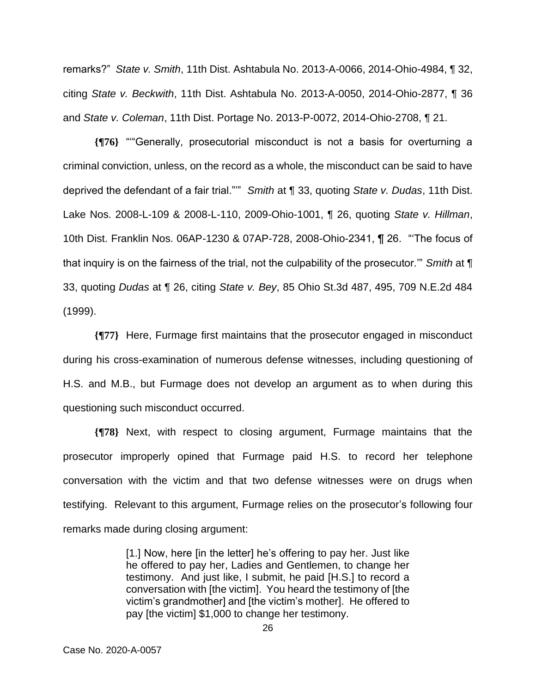remarks?" *State v. Smith*, 11th Dist. Ashtabula No. 2013-A-0066, 2014-Ohio-4984, ¶ 32, citing *State v. Beckwith*, 11th Dist. Ashtabula No. 2013-A-0050, 2014-Ohio-2877, ¶ 36 and *State v. Coleman*, 11th Dist. Portage No. 2013-P-0072, 2014-Ohio-2708, ¶ 21.

**{¶76}** "'"Generally, prosecutorial misconduct is not a basis for overturning a criminal conviction, unless, on the record as a whole, the misconduct can be said to have deprived the defendant of a fair trial."'" *Smith* at ¶ 33, quoting *State v. Dudas*, 11th Dist. Lake Nos. 2008-L-109 & 2008-L-110, 2009-Ohio-1001, ¶ 26, quoting *State v. Hillman*, 10th Dist. Franklin Nos. 06AP-1230 & 07AP-728, 2008-Ohio-2341, ¶ 26. "'The focus of that inquiry is on the fairness of the trial, not the culpability of the prosecutor.'" *Smith* at ¶ 33, quoting *Dudas* at ¶ 26, citing *State v. Bey*, 85 Ohio St.3d 487, 495, 709 N.E.2d 484 (1999).

**{¶77}** Here, Furmage first maintains that the prosecutor engaged in misconduct during his cross-examination of numerous defense witnesses, including questioning of H.S. and M.B., but Furmage does not develop an argument as to when during this questioning such misconduct occurred.

**{¶78}** Next, with respect to closing argument, Furmage maintains that the prosecutor improperly opined that Furmage paid H.S. to record her telephone conversation with the victim and that two defense witnesses were on drugs when testifying. Relevant to this argument, Furmage relies on the prosecutor's following four remarks made during closing argument:

> [1.] Now, here [in the letter] he's offering to pay her. Just like he offered to pay her, Ladies and Gentlemen, to change her testimony. And just like, I submit, he paid [H.S.] to record a conversation with [the victim]. You heard the testimony of [the victim's grandmother] and [the victim's mother]. He offered to pay [the victim] \$1,000 to change her testimony.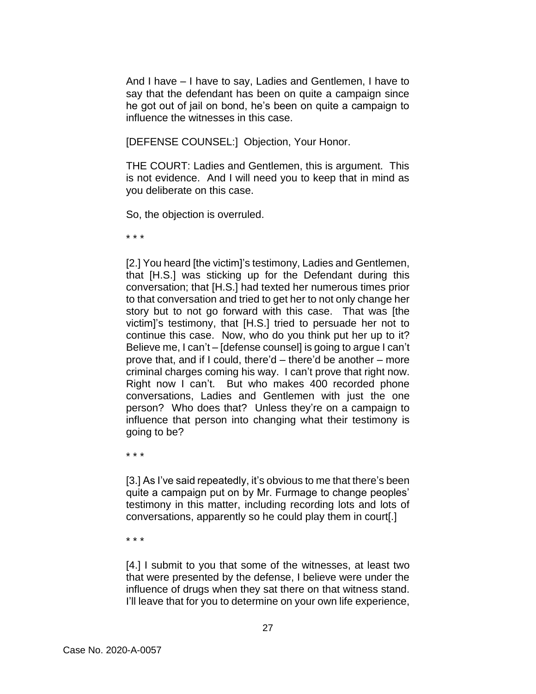And I have – I have to say, Ladies and Gentlemen, I have to say that the defendant has been on quite a campaign since he got out of jail on bond, he's been on quite a campaign to influence the witnesses in this case.

[DEFENSE COUNSEL:] Objection, Your Honor.

THE COURT: Ladies and Gentlemen, this is argument. This is not evidence. And I will need you to keep that in mind as you deliberate on this case.

So, the objection is overruled.

\* \* \*

[2.] You heard [the victim]'s testimony, Ladies and Gentlemen, that [H.S.] was sticking up for the Defendant during this conversation; that [H.S.] had texted her numerous times prior to that conversation and tried to get her to not only change her story but to not go forward with this case. That was [the victim]'s testimony, that [H.S.] tried to persuade her not to continue this case. Now, who do you think put her up to it? Believe me, I can't – [defense counsel] is going to argue I can't prove that, and if I could, there'd – there'd be another – more criminal charges coming his way. I can't prove that right now. Right now I can't. But who makes 400 recorded phone conversations, Ladies and Gentlemen with just the one person? Who does that? Unless they're on a campaign to influence that person into changing what their testimony is going to be?

\* \* \*

[3.] As I've said repeatedly, it's obvious to me that there's been quite a campaign put on by Mr. Furmage to change peoples' testimony in this matter, including recording lots and lots of conversations, apparently so he could play them in court[.]

\* \* \*

[4.] I submit to you that some of the witnesses, at least two that were presented by the defense, I believe were under the influence of drugs when they sat there on that witness stand. I'll leave that for you to determine on your own life experience,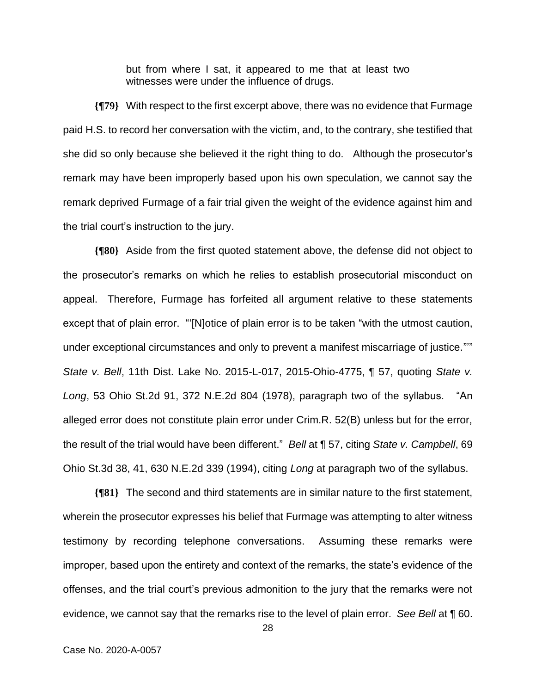but from where I sat, it appeared to me that at least two witnesses were under the influence of drugs.

**{¶79}** With respect to the first excerpt above, there was no evidence that Furmage paid H.S. to record her conversation with the victim, and, to the contrary, she testified that she did so only because she believed it the right thing to do. Although the prosecutor's remark may have been improperly based upon his own speculation, we cannot say the remark deprived Furmage of a fair trial given the weight of the evidence against him and the trial court's instruction to the jury.

**{¶80}** Aside from the first quoted statement above, the defense did not object to the prosecutor's remarks on which he relies to establish prosecutorial misconduct on appeal. Therefore, Furmage has forfeited all argument relative to these statements except that of plain error. "'[N]otice of plain error is to be taken "with the utmost caution, under exceptional circumstances and only to prevent a manifest miscarriage of justice."'" *State v. Bell*, 11th Dist. Lake No. 2015-L-017, 2015-Ohio-4775, ¶ 57, quoting *State v. Long*, 53 Ohio St.2d 91, 372 N.E.2d 804 (1978), paragraph two of the syllabus. "An alleged error does not constitute plain error under Crim.R. 52(B) unless but for the error, the result of the trial would have been different." *Bell* at ¶ 57, citing *State v. Campbell*, 69 Ohio St.3d 38, 41, 630 N.E.2d 339 (1994), citing *Long* at paragraph two of the syllabus.

**{¶81}** The second and third statements are in similar nature to the first statement, wherein the prosecutor expresses his belief that Furmage was attempting to alter witness testimony by recording telephone conversations. Assuming these remarks were improper, based upon the entirety and context of the remarks, the state's evidence of the offenses, and the trial court's previous admonition to the jury that the remarks were not evidence, we cannot say that the remarks rise to the level of plain error. *See Bell* at ¶ 60.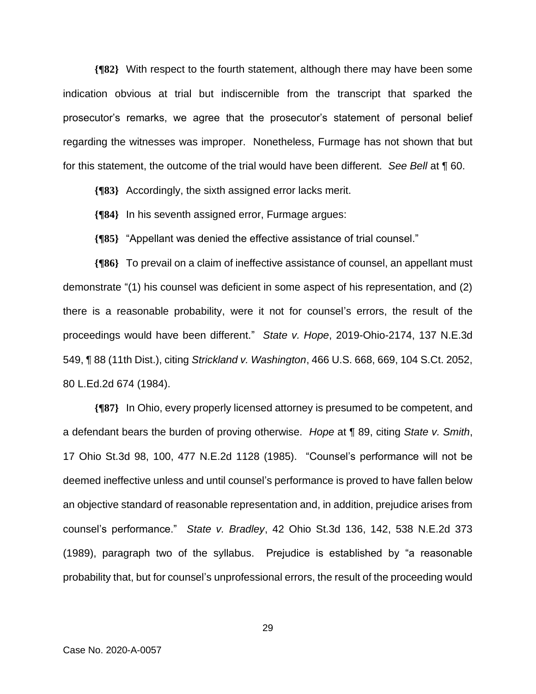**{¶82}** With respect to the fourth statement, although there may have been some indication obvious at trial but indiscernible from the transcript that sparked the prosecutor's remarks, we agree that the prosecutor's statement of personal belief regarding the witnesses was improper. Nonetheless, Furmage has not shown that but for this statement, the outcome of the trial would have been different. *See Bell* at ¶ 60.

**{¶83}** Accordingly, the sixth assigned error lacks merit.

**{¶84}** In his seventh assigned error, Furmage argues:

**{¶85}** "Appellant was denied the effective assistance of trial counsel."

**{¶86}** To prevail on a claim of ineffective assistance of counsel, an appellant must demonstrate "(1) his counsel was deficient in some aspect of his representation, and (2) there is a reasonable probability, were it not for counsel's errors, the result of the proceedings would have been different." *State v. Hope*, 2019-Ohio-2174, 137 N.E.3d 549, ¶ 88 (11th Dist.), citing *Strickland v. Washington*, 466 U.S. 668, 669, 104 S.Ct. 2052, 80 L.Ed.2d 674 (1984).

**{¶87}** In Ohio, every properly licensed attorney is presumed to be competent, and a defendant bears the burden of proving otherwise. *Hope* at ¶ 89, citing *State v. Smith*, 17 Ohio St.3d 98, 100, 477 N.E.2d 1128 (1985). "Counsel's performance will not be deemed ineffective unless and until counsel's performance is proved to have fallen below an objective standard of reasonable representation and, in addition, prejudice arises from counsel's performance." *State v. Bradley*, 42 Ohio St.3d 136, 142, 538 N.E.2d 373 (1989), paragraph two of the syllabus. Prejudice is established by "a reasonable probability that, but for counsel's unprofessional errors, the result of the proceeding would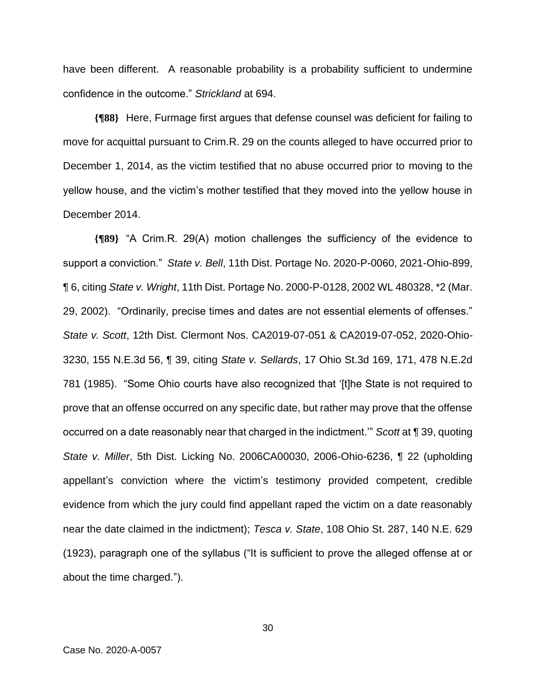have been different. A reasonable probability is a probability sufficient to undermine confidence in the outcome." *Strickland* at 694.

**{¶88}** Here, Furmage first argues that defense counsel was deficient for failing to move for acquittal pursuant to Crim.R. 29 on the counts alleged to have occurred prior to December 1, 2014, as the victim testified that no abuse occurred prior to moving to the yellow house, and the victim's mother testified that they moved into the yellow house in December 2014.

**{¶89}** "A Crim.R. 29(A) motion challenges the sufficiency of the evidence to support a conviction." *State v. Bell*, 11th Dist. Portage No. 2020-P-0060, 2021-Ohio-899, ¶ 6, citing *State v. Wright*, 11th Dist. Portage No. 2000-P-0128, 2002 WL 480328, \*2 (Mar. 29, 2002). "Ordinarily, precise times and dates are not essential elements of offenses." *State v. Scott*, 12th Dist. Clermont Nos. CA2019-07-051 & CA2019-07-052, 2020-Ohio-3230, 155 N.E.3d 56, ¶ 39, citing *State v. Sellards*, 17 Ohio St.3d 169, 171, 478 N.E.2d 781 (1985). "Some Ohio courts have also recognized that '[t]he State is not required to prove that an offense occurred on any specific date, but rather may prove that the offense occurred on a date reasonably near that charged in the indictment.'" *Scott* at ¶ 39, quoting *State v. Miller*, 5th Dist. Licking No. 2006CA00030, 2006-Ohio-6236, ¶ 22 (upholding appellant's conviction where the victim's testimony provided competent, credible evidence from which the jury could find appellant raped the victim on a date reasonably near the date claimed in the indictment); *Tesca v. State*, 108 Ohio St. 287, 140 N.E. 629 (1923), paragraph one of the syllabus ("It is sufficient to prove the alleged offense at or about the time charged.").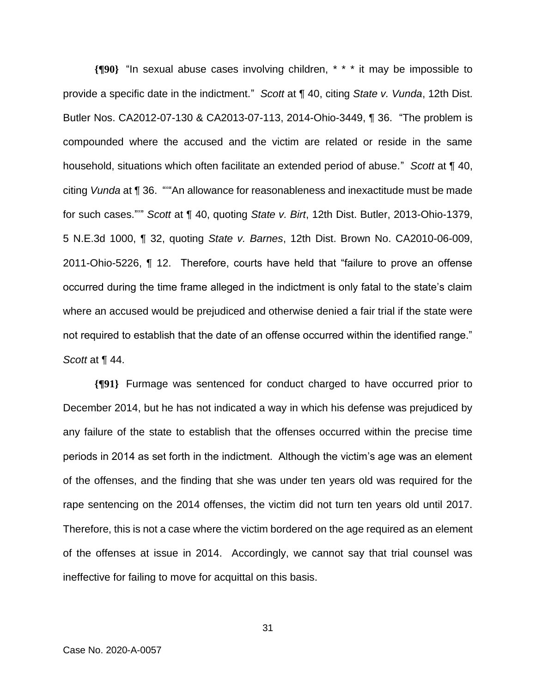**{¶90}** "In sexual abuse cases involving children, \* \* \* it may be impossible to provide a specific date in the indictment." *Scott* at ¶ 40, citing *State v. Vunda*, 12th Dist. Butler Nos. CA2012-07-130 & CA2013-07-113, 2014-Ohio-3449, ¶ 36. "The problem is compounded where the accused and the victim are related or reside in the same household, situations which often facilitate an extended period of abuse." *Scott* at ¶ 40, citing *Vunda* at ¶ 36. "'"An allowance for reasonableness and inexactitude must be made for such cases."'" *Scott* at ¶ 40, quoting *State v. Birt*, 12th Dist. Butler, 2013-Ohio-1379, 5 N.E.3d 1000, ¶ 32, quoting *State v. Barnes*, 12th Dist. Brown No. CA2010-06-009, 2011-Ohio-5226, ¶ 12. Therefore, courts have held that "failure to prove an offense occurred during the time frame alleged in the indictment is only fatal to the state's claim where an accused would be prejudiced and otherwise denied a fair trial if the state were not required to establish that the date of an offense occurred within the identified range." *Scott* at ¶ 44.

**{¶91}** Furmage was sentenced for conduct charged to have occurred prior to December 2014, but he has not indicated a way in which his defense was prejudiced by any failure of the state to establish that the offenses occurred within the precise time periods in 2014 as set forth in the indictment. Although the victim's age was an element of the offenses, and the finding that she was under ten years old was required for the rape sentencing on the 2014 offenses, the victim did not turn ten years old until 2017. Therefore, this is not a case where the victim bordered on the age required as an element of the offenses at issue in 2014. Accordingly, we cannot say that trial counsel was ineffective for failing to move for acquittal on this basis.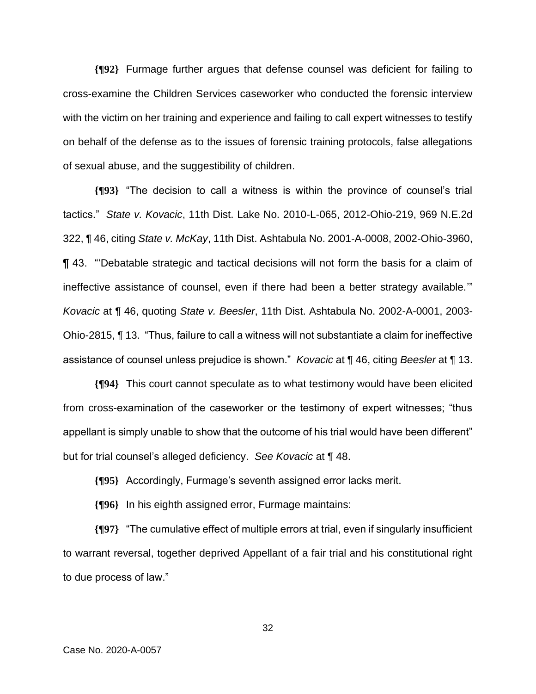**{¶92}** Furmage further argues that defense counsel was deficient for failing to cross-examine the Children Services caseworker who conducted the forensic interview with the victim on her training and experience and failing to call expert witnesses to testify on behalf of the defense as to the issues of forensic training protocols, false allegations of sexual abuse, and the suggestibility of children.

**{¶93}** "The decision to call a witness is within the province of counsel's trial tactics." *State v. Kovacic*, 11th Dist. Lake No. 2010-L-065, 2012-Ohio-219, 969 N.E.2d 322, ¶ 46, citing *State v. McKay*, 11th Dist. Ashtabula No. 2001-A-0008, 2002-Ohio-3960, ¶ 43. "'Debatable strategic and tactical decisions will not form the basis for a claim of ineffective assistance of counsel, even if there had been a better strategy available.'" *Kovacic* at ¶ 46, quoting *State v. Beesler*, 11th Dist. Ashtabula No. 2002-A-0001, 2003- Ohio-2815, ¶ 13. "Thus, failure to call a witness will not substantiate a claim for ineffective assistance of counsel unless prejudice is shown." *Kovacic* at ¶ 46, citing *Beesler* at ¶ 13.

**{¶94}** This court cannot speculate as to what testimony would have been elicited from cross-examination of the caseworker or the testimony of expert witnesses; "thus appellant is simply unable to show that the outcome of his trial would have been different" but for trial counsel's alleged deficiency. *See Kovacic* at ¶ 48.

**{¶95}** Accordingly, Furmage's seventh assigned error lacks merit.

**{¶96}** In his eighth assigned error, Furmage maintains:

**{¶97}** "The cumulative effect of multiple errors at trial, even if singularly insufficient to warrant reversal, together deprived Appellant of a fair trial and his constitutional right to due process of law."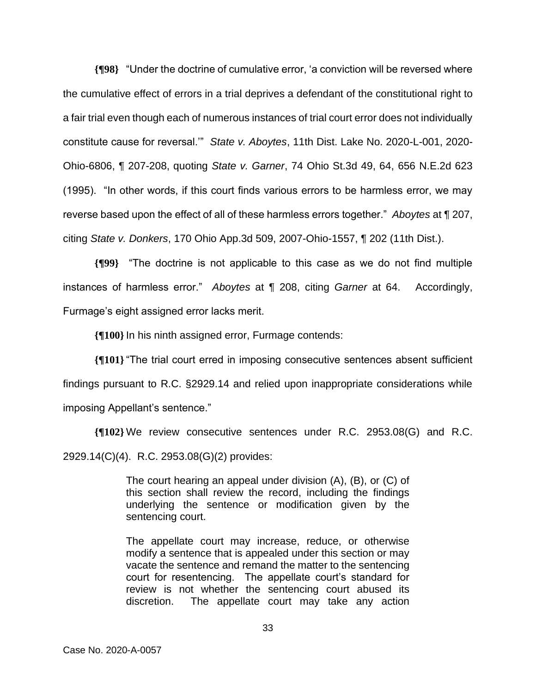**{¶98}** "Under the doctrine of cumulative error, 'a conviction will be reversed where the cumulative effect of errors in a trial deprives a defendant of the constitutional right to a fair trial even though each of numerous instances of trial court error does not individually constitute cause for reversal.'" *State v. Aboytes*, 11th Dist. Lake No. 2020-L-001, 2020- Ohio-6806, ¶ 207-208, quoting *State v. Garner*, 74 Ohio St.3d 49, 64, 656 N.E.2d 623 (1995). "In other words, if this court finds various errors to be harmless error, we may reverse based upon the effect of all of these harmless errors together." *Aboytes* at ¶ 207, citing *State v. Donkers*, 170 Ohio App.3d 509, 2007-Ohio-1557, ¶ 202 (11th Dist.).

**{¶99}** "The doctrine is not applicable to this case as we do not find multiple instances of harmless error." *Aboytes* at ¶ 208, citing *Garner* at 64. Accordingly, Furmage's eight assigned error lacks merit.

**{¶100}**In his ninth assigned error, Furmage contends:

**{¶101}**"The trial court erred in imposing consecutive sentences absent sufficient findings pursuant to R.C. §2929.14 and relied upon inappropriate considerations while imposing Appellant's sentence."

**{¶102}** We review consecutive sentences under R.C. 2953.08(G) and R.C. 2929.14(C)(4). R.C. 2953.08(G)(2) provides:

> The court hearing an appeal under division (A), (B), or (C) of this section shall review the record, including the findings underlying the sentence or modification given by the sentencing court.

> The appellate court may increase, reduce, or otherwise modify a sentence that is appealed under this section or may vacate the sentence and remand the matter to the sentencing court for resentencing. The appellate court's standard for review is not whether the sentencing court abused its discretion. The appellate court may take any action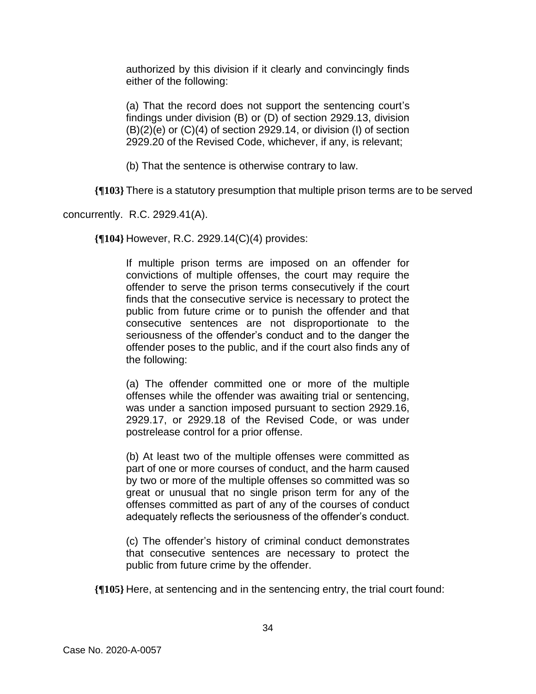authorized by this division if it clearly and convincingly finds either of the following:

(a) That the record does not support the sentencing court's findings under division (B) or (D) of section 2929.13, division (B)(2)(e) or (C)(4) of section 2929.14, or division (I) of section 2929.20 of the Revised Code, whichever, if any, is relevant;

(b) That the sentence is otherwise contrary to law.

**{¶103}** There is a statutory presumption that multiple prison terms are to be served

concurrently. R.C. 2929.41(A).

**{¶104}** However, R.C. 2929.14(C)(4) provides:

If multiple prison terms are imposed on an offender for convictions of multiple offenses, the court may require the offender to serve the prison terms consecutively if the court finds that the consecutive service is necessary to protect the public from future crime or to punish the offender and that consecutive sentences are not disproportionate to the seriousness of the offender's conduct and to the danger the offender poses to the public, and if the court also finds any of the following:

(a) The offender committed one or more of the multiple offenses while the offender was awaiting trial or sentencing, was under a sanction imposed pursuant to section 2929.16, 2929.17, or 2929.18 of the Revised Code, or was under postrelease control for a prior offense.

(b) At least two of the multiple offenses were committed as part of one or more courses of conduct, and the harm caused by two or more of the multiple offenses so committed was so great or unusual that no single prison term for any of the offenses committed as part of any of the courses of conduct adequately reflects the seriousness of the offender's conduct.

(c) The offender's history of criminal conduct demonstrates that consecutive sentences are necessary to protect the public from future crime by the offender.

**{¶105}** Here, at sentencing and in the sentencing entry, the trial court found: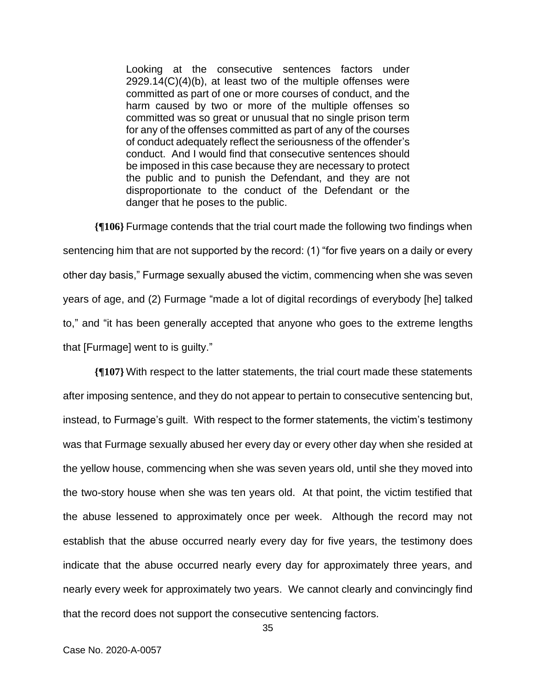Looking at the consecutive sentences factors under  $2929.14(C)(4)(b)$ , at least two of the multiple offenses were committed as part of one or more courses of conduct, and the harm caused by two or more of the multiple offenses so committed was so great or unusual that no single prison term for any of the offenses committed as part of any of the courses of conduct adequately reflect the seriousness of the offender's conduct. And I would find that consecutive sentences should be imposed in this case because they are necessary to protect the public and to punish the Defendant, and they are not disproportionate to the conduct of the Defendant or the danger that he poses to the public.

**{¶106}** Furmage contends that the trial court made the following two findings when sentencing him that are not supported by the record: (1) "for five years on a daily or every other day basis," Furmage sexually abused the victim, commencing when she was seven years of age, and (2) Furmage "made a lot of digital recordings of everybody [he] talked to," and "it has been generally accepted that anyone who goes to the extreme lengths that [Furmage] went to is guilty."

**{¶107}** With respect to the latter statements, the trial court made these statements after imposing sentence, and they do not appear to pertain to consecutive sentencing but, instead, to Furmage's guilt. With respect to the former statements, the victim's testimony was that Furmage sexually abused her every day or every other day when she resided at the yellow house, commencing when she was seven years old, until she they moved into the two-story house when she was ten years old. At that point, the victim testified that the abuse lessened to approximately once per week. Although the record may not establish that the abuse occurred nearly every day for five years, the testimony does indicate that the abuse occurred nearly every day for approximately three years, and nearly every week for approximately two years. We cannot clearly and convincingly find that the record does not support the consecutive sentencing factors.